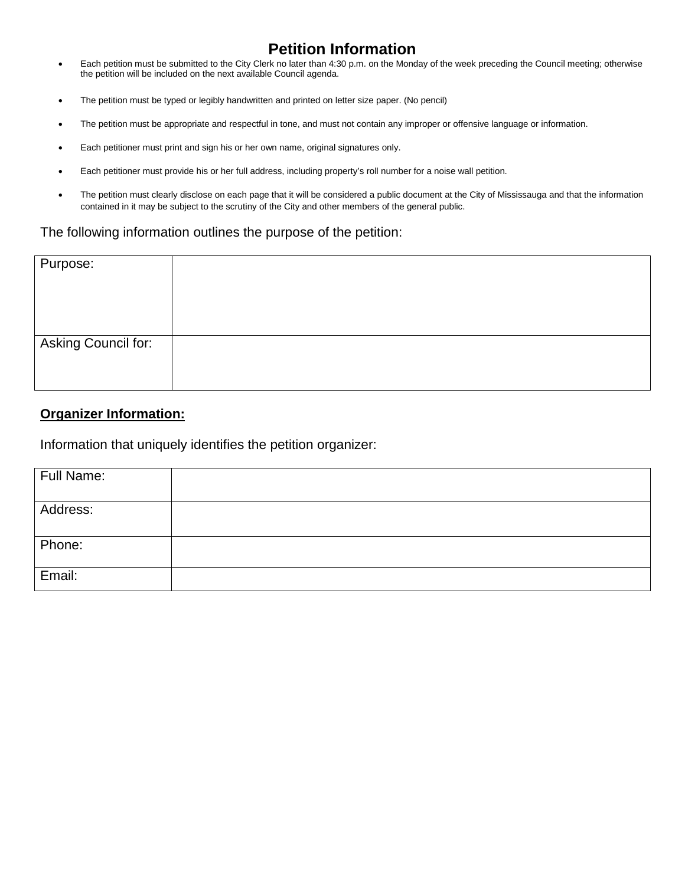## **Petition Information**

- Each petition must be submitted to the City Clerk no later than 4:30 p.m. on the Monday of the week preceding the Council meeting; otherwise the petition will be included on the next available Council agenda.
- The petition must be typed or legibly handwritten and printed on letter size paper. (No pencil)
- The petition must be appropriate and respectful in tone, and must not contain any improper or offensive language or information.
- Each petitioner must print and sign his or her own name, original signatures only.
- Each petitioner must provide his or her full address, including property's roll number for a noise wall petition.
- The petition must clearly disclose on each page that it will be considered a public document at the City of Mississauga and that the information contained in it may be subject to the scrutiny of the City and other members of the general public.

## The following information outlines the purpose of the petition:

| Purpose:            |  |
|---------------------|--|
|                     |  |
|                     |  |
|                     |  |
| Asking Council for: |  |
|                     |  |
|                     |  |

## **Organizer Information:**

Information that uniquely identifies the petition organizer:

| Full Name: |  |
|------------|--|
| Address:   |  |
| Phone:     |  |
| Email:     |  |